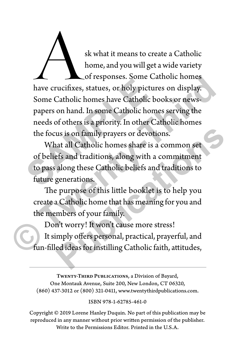sk what it means to create a Catholic<br>home, and you will get a wide variety<br>of responses. Some Catholic homes<br>have crucifixes, statues, or holy pictures on display. home, and you will get a wide variety of responses. Some Catholic homes Some Catholic homes have Catholic books or newspapers on hand. In some Catholic homes serving the needs of others is a priority. In other Catholic homes the focus is on family prayers or devotions. The corresponses: some case of the corresponses: some case of the Same Catholic bond papers on hand. In some Catholic bond needs of others is a priority. In other Case of others is a priority. In other Case of beliefs and of responses. Some Catholic homes<br>have crucifixes, statues, or holy pictures on display.<br>Some Catholic homes have Catholic books or news-<br>papers on hand. In some Catholic homes serving the<br>needs of others is a priority. In

What all Catholic homes share is a common set of beliefs and traditions, along with a commitment to pass along these Catholic beliefs and traditions to future generations. us is on family prayers or devotions.<br>
has all Catholic homes share is a common set<br>
efs and traditions, along with a commitment<br>
along these Catholic beliefs and traditions to<br>
generations.<br>
Purpose of this little booklet

The purpose of this little booklet is to help you create a Catholic home that has meaning for you and the members of your family.

Don't worry! It won't cause more stress! It simply offers personal, practical, prayerful, and fun-filled ideas for instilling Catholic faith, attitudes,

TWENTY-THIRD PUBLICATIONS, a Division of Bayard, One Montauk Avenue, Suite 200, New London, CT 06320, (860) 437-3012 or (800) 321-0411, www.twentythirdpublications.com.

ISBN 978-1-62785-461-0

Copyright © 2019 Lorene Hanley Duquin. No part of this publication may be reproduced in any manner without prior written permission of the publisher. Write to the Permissions Editor. Printed in the U.S.A.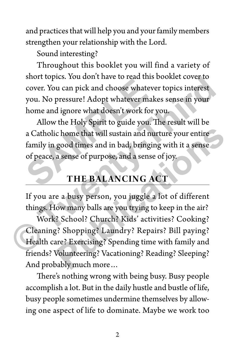and practices that will help you and your family members strengthen your relationship with the Lord.

Sound interesting?

Throughout this booklet you will find a variety of short topics. You don't have to read this booklet cover to cover. You can pick and choose whatever topics interest you. No pressure! Adopt whatever makes sense in your home and ignore what doesn't work for you.

Allow the Holy Spirit to guide you. The result will be a Catholic home that will sustain and nurture your entire family in good times and in bad, bringing with it a sense of peace, a sense of purpose, and a sense of joy. short teptes. For abilitative to read ans a<br>cover. You can pick and choose whateve<br>you. No pressure! Adopt whatever make<br>home and ignore what doesn't work for y<br>Allow the Holy Spirit to guide you. T<br>a Catholic home that wi short topics. You don't have to read this booklet cover to<br>cover. You can pick and choose whatever topics interest<br>you. No pressure! Adopt whatever makes sense in your<br>home and ignore what doesn't work for you.<br>Allow the H

## **THE BALANCING ACT**

If you are a busy person, you juggle a lot of different things. How many balls are you trying to keep in the air?

Work? School? Church? Kids' activities? Cooking? Cleaning? Shopping? Laundry? Repairs? Bill paying? Health care? Exercising? Spending time with family and friends? Volunteering? Vacationing? Reading? Sleeping? And probably much more… c home that will sustain and nurture your entire<br>good times and in bad, bringing with it a sense<br>a sense of purpose, and a sense of joy.<br>THE BALANCING ACT<br>e a busy person, you juggle a lot of different<br>ow many balls are yo

There's nothing wrong with being busy. Busy people accomplish a lot. But in the daily hustle and bustle of life, busy people sometimes undermine themselves by allowing one aspect of life to dominate. Maybe we work too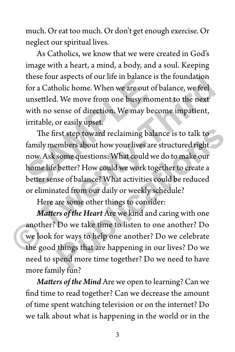much. Or eat too much. Or don't get enough exercise. Or neglect our spiritual lives.

As Catholics, we know that we were created in God's image with a heart, a mind, a body, and a soul. Keeping these four aspects of our life in balance is the foundation for a Catholic home. When we are out of balance, we feel unsettled. We move from one busy moment to the next with no sense of direction. We may become impatient, irritable, or easily upset.

The first step toward reclaiming balance is to talk to family members about how your lives are structured right now. Ask some questions: What could we do to make our home life better? How could we work together to create a better sense of balance? What activities could be reduced or eliminated from our daily or weekly schedule? these four aspects of our life in challed a<br>for a Catholic home. When we are out of<br>unsettled. We move from one busy mon<br>with no sense of direction. We may bec<br>irritable, or easily upset.<br>The first step toward reclaiming b these four aspects of our life in balance is the foundation<br>for a Catholic home. When we are out of balance, we feel<br>unsettled. We move from one busy moment to the next<br>with no sense of direction. We may become impatient,<br> rst step toward reclaiming balance is to talk to<br>embers about how your lives are structured right<br>some questions: What could we do to make our<br>better? How could we work together to create a<br>see of balance? What activities

Here are some other things to consider:

*Matters of the Heart* Are we kind and caring with one another? Do we take time to listen to one another? Do we look for ways to help one another? Do we celebrate the good things that are happening in our lives? Do we need to spend more time together? Do we need to have more family fun?

*Matters of the Mind* Are we open to learning? Can we find time to read together? Can we decrease the amount of time spent watching television or on the internet? Do we talk about what is happening in the world or in the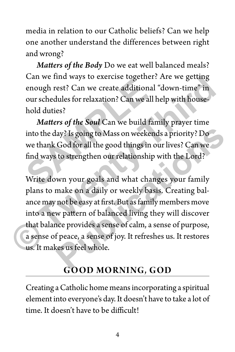media in relation to our Catholic beliefs? Can we help one another understand the differences between right and wrong?

*Matters of the Body* Do we eat well balanced meals? Can we find ways to exercise together? Are we getting enough rest? Can we create additional "down-time" in our schedules for relaxation? Can we all help with household duties?

*Matters of the Soul* Can we build family prayer time into the day? Is going to Mass on weekends a priority? Do we thank God for all the good things in our lives? Can we find ways to strengthen our relationship with the Lord? Example 1 and Mays to exercise together.<br>
enough rest? Can we create additional<br>
our schedules for relaxation? Can we all h<br>
hold duties?<br> **Matters of the Soul** Can we build fan<br>
into the day? Is going to Mass on weeken<br>
w

Write down your goals and what changes your family plans to make on a daily or weekly basis. Creating balance may not be easy at first. But as family members move into a new pattern of balanced living they will discover that balance provides a sense of calm, a sense of purpose, a sense of peace, a sense of joy. It refreshes us. It restores us. It makes us feel whole. Can we find ways to exercise together? Are we getting<br>enough rest? Can we create additional "down-time" in<br>our schedules for relaxation? Can we all help with house-<br>hold duties?<br>*Matters of the Soul* Can we build family pr lay? Is going to Mass on weekends a priority? Do<br>God for all the good things in our lives? Can we<br>to strengthen our relationship with the Lord?<br>wn your goals and what changes your family<br>make on a daily or weekly basis. Cr

## **GOOD MORNING, GOD**

Creating a Catholic home means incorporating a spiritual element into everyone's day. It doesn't have to take a lot of time. It doesn't have to be difficult!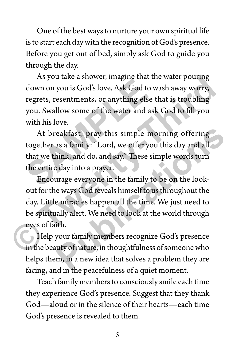One of the best ways to nurture your own spiritual life is to start each day with the recognition of God's presence. Before you get out of bed, simply ask God to guide you through the day.

As you take a shower, imagine that the water pouring down on you is God's love. Ask God to wash away worry, regrets, resentments, or anything else that is troubling you. Swallow some of the water and ask God to fill you with his love. The you also a shower, magnet and the down on you is God's love. Ask God to w<br>down on you is God's love. Ask God to w<br>regrets, resentments, or anything else t<br>you. Swallow some of the water and ask<br>with his love.<br>At breakf

At breakfast, pray this simple morning offering together as a family: "Lord, we offer you this day and all that we think, and do, and say." These simple words turn the entire day into a prayer.

Encourage everyone in the family to be on the lookout for the ways God reveals himself to us throughout the day. Little miracles happen all the time. We just need to be spiritually alert. We need to look at the world through eyes of faith. As you take a shower, imagine that the water pouring<br>down on you is God's love. Ask God to wash away worry,<br>regrets, resentments, or anything else that is troubling<br>you. Swallow some of the water and ask God to fill you<br>wi eakfast, pray this simple morning offering<br>as a family: "Lord, we offer you this day and all<br>hink, and do, and say." These simple words turn<br>eday into a prayer.<br>urage everyone in the family to be on the look-<br>e ways God re

Help your family members recognize God's presence in the beauty of nature, in thoughtfulness of someone who helps them, in a new idea that solves a problem they are facing, and in the peacefulness of a quiet moment.

Teach family members to consciously smile each time they experience God's presence. Suggest that they thank God—aloud or in the silence of their hearts—each time God's presence is revealed to them.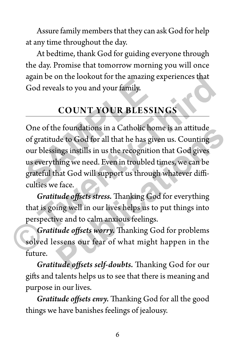Assure family members that they can ask God for help at any time throughout the day.

At bedtime, thank God for guiding everyone through the day. Promise that tomorrow morning you will once again be on the lookout for the amazing experiences that God reveals to you and your family.

## **COUNT YOUR BLESSINGS**

One of the foundations in a Catholic home is an attitude of gratitude to God for all that he has given us. Counting our blessings instills in us the recognition that God gives us everything we need. Even in troubled times, we can be grateful that God will support us through whatever difficulties we face. God reveals to you and your family.<br> **SAMPLE COUNT YOUR BLESSI**<br>
One of the foundations in a Catholic hor<br>
of gratitude to God for all that he has give our blessings instills in us the recognition<br>
us everything we need. E again be on the lookout for the amazing experiences that<br>
God reveals to you and your family.<br>
COUNT YOUR BLESSINGS<br>
One of the foundations in a Catholic home is an attitude<br>
of gratitude to God for all that he has given u ie foundations in a Cathouc home is an attitude<br>de to God for all that he has given us. Counting<br>ings instills in us the recognition that God gives<br>hing we need. Even in troubled times, we can be<br>hat God will support us th

*Gratitude offsets stress.* Thanking God for everything that is going well in our lives helps us to put things into perspective and to calm anxious feelings.

*Gratitude offsets worry.* Thanking God for problems solved lessens our fear of what might happen in the future.

*Gratitude offsets self-doubts.* Thanking God for our gifts and talents helps us to see that there is meaning and purpose in our lives.

*Gratitude offsets envy.* Thanking God for all the good things we have banishes feelings of jealousy.